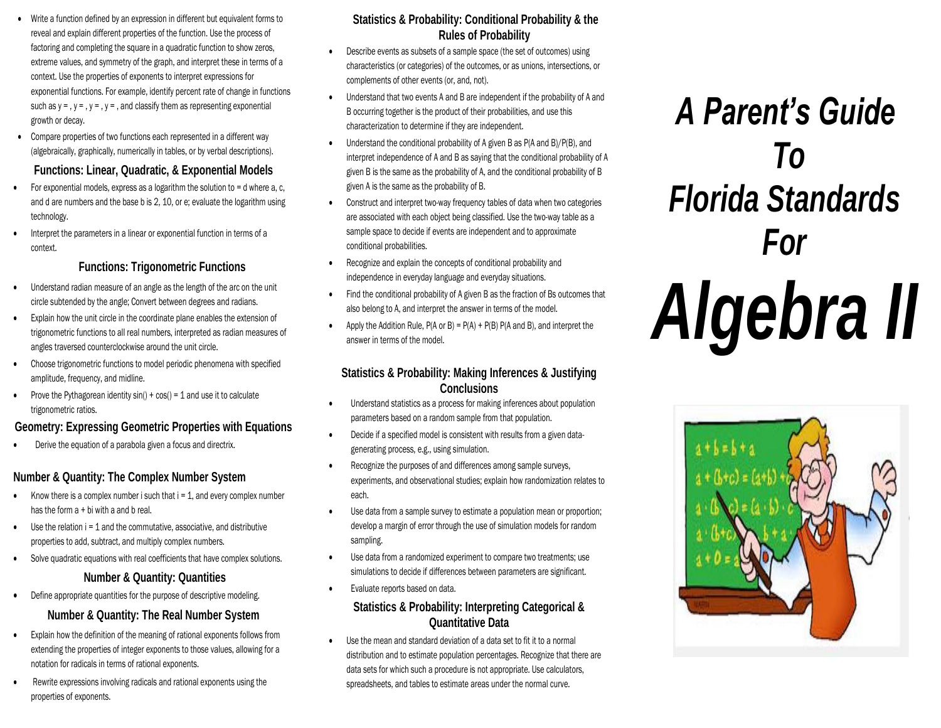- Write a function defined by an expression in different but equivalent forms to reveal and explain different properties of the function. Use the process of factoring and completing the square in a quadratic function to show zeros, extreme values, and symmetry of the graph, and interpret these in terms of a context. Use the properties of exponents to interpret expressions for exponential functions. For example, identify percent rate of change in functions such as  $y = 0$ ,  $y = 0$ ,  $y = 0$ ,  $y = 0$  and classify them as representing exponential growth or decay.
- Compare properties of two functions each represented in a different way (algebraically, graphically, numerically in tables, or by verbal descriptions).

# **Functions: Linear, Quadratic, & Exponential Models**

- For exponential models, express as a logarithm the solution to  $=$  d where a, c, and d are numbers and the base b is 2, 10, or e; evaluate the logarithm using technology.
- Interpret the parameters in a linear or exponential function in terms of a context.

# **Functions: Trigonometric Functions**

- Understand radian measure of an angle as the length of the arc on the unit circle subtended by the angle; Convert between degrees and radians.
- Explain how the unit circle in the coordinate plane enables the extension of trigonometric functions to all real numbers, interpreted as radian measures of angles traversed counterclockwise around the unit circle.
- Choose trigonometric functions to model periodic phenomena with specified amplitude, frequency, and midline.
- Prove the Pythagorean identity  $sin() + cos() = 1$  and use it to calculate trigonometric ratios.

# **Geometry: Expressing Geometric Properties with Equations**

Derive the equation of a parabola given a focus and directrix.

# **Number & Quantity: The Complex Number System**

- Know there is a complex number i such that  $i = 1$ , and every complex number has the form a + bi with a and b real.
- Use the relation  $i = 1$  and the commutative, associative, and distributive properties to add, subtract, and multiply complex numbers.
- Solve quadratic equations with real coefficients that have complex solutions.

### **Number & Quantity: Quantities**

• Define appropriate quantities for the purpose of descriptive modeling.

# **Number & Quantity: The Real Number System**

- Explain how the definition of the meaning of rational exponents follows from extending the properties of integer exponents to those values, allowing for a notation for radicals in terms of rational exponents.
- Rewrite expressions involving radicals and rational exponents using the properties of exponents.

# **Statistics & Probability: Conditional Probability & the Rules of Probability**

- Describe events as subsets of a sample space (the set of outcomes) using characteristics (or categories) of the outcomes, or as unions, intersections, or complements of other events (or, and, not).
- Understand that two events A and B are independent if the probability of A and B occurring together is the product of their probabilities, and use this characterization to determine if they are independent.
- Understand the conditional probability of A given B as P(A and B)/P(B), and interpret independence of A and B as saying that the conditional probability of A given B is the same as the probability of A, and the conditional probability of B given A is the same as the probability of B.
- Construct and interpret two-way frequency tables of data when two categories are associated with each object being classified. Use the two-way table as a sample space to decide if events are independent and to approximate conditional probabilities.
- Recognize and explain the concepts of conditional probability and independence in everyday language and everyday situations.
- Find the conditional probability of A given B as the fraction of Bs outcomes that also belong to A, and interpret the answer in terms of the model.
- Apply the Addition Rule,  $P(A \text{ or } B) = P(A) + P(B) P(A \text{ and } B)$ , and interpret the answer in terms of the model.

# **Statistics & Probability: Making Inferences & Justifying Conclusions**

- Understand statistics as a process for making inferences about population parameters based on a random sample from that population.
- Decide if a specified model is consistent with results from a given datagenerating process, e.g., using simulation.
- Recognize the purposes of and differences among sample surveys, experiments, and observational studies; explain how randomization relates to each.
- Use data from a sample survey to estimate a population mean or proportion; develop a margin of error through the use of simulation models for random sampling.
- Use data from a randomized experiment to compare two treatments; use simulations to decide if differences between parameters are significant.
- Evaluate reports based on data.

# **Statistics & Probability: Interpreting Categorical & Quantitative Data**

 Use the mean and standard deviation of a data set to fit it to a normal distribution and to estimate population percentages. Recognize that there are data sets for which such a procedure is not appropriate. Use calculators, spreadsheets, and tables to estimate areas under the normal curve.

# *A Parent's Guide To Florida Standards For Algebra II*